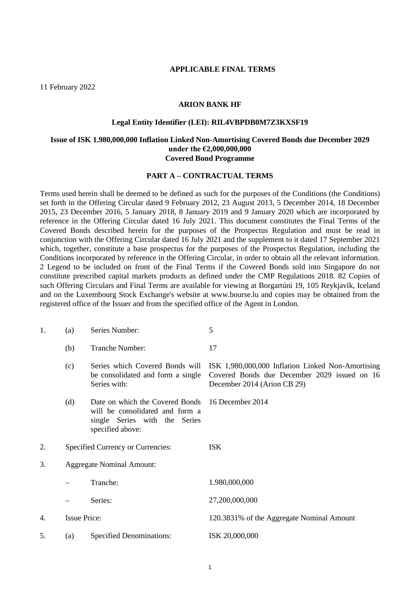#### **APPLICABLE FINAL TERMS**

11 February 2022

### **ARION BANK HF**

#### **Legal Entity Identifier (LEI): RIL4VBPDB0M7Z3KXSF19**

### **Issue of ISK 1.980,000,000 Inflation Linked Non-Amortising Covered Bonds due December 2029 under the €2,000,000,000 Covered Bond Programme**

### **PART A – CONTRACTUAL TERMS**

Terms used herein shall be deemed to be defined as such for the purposes of the Conditions (the Conditions) set forth in the Offering Circular dated 9 February 2012, 23 August 2013, 5 December 2014, 18 December 2015, 23 December 2016, 5 January 2018, 8 January 2019 and 9 January 2020 which are incorporated by reference in the Offering Circular dated 16 July 2021. This document constitutes the Final Terms of the Covered Bonds described herein for the purposes of the Prospectus Regulation and must be read in conjunction with the Offering Circular dated 16 July 2021 and the supplement to it dated 17 September 2021 which, together, constitute a base prospectus for the purposes of the Prospectus Regulation, including the Conditions incorporated by reference in the Offering Circular, in order to obtain all the relevant information. 2 Legend to be included on front of the Final Terms if the Covered Bonds sold into Singapore do not constitute prescribed capital markets products as defined under the CMP Regulations 2018. 82 Copies of such Offering Circulars and Final Terms are available for viewing at Borgartúni 19, 105 Reykjavík, Iceland and on the Luxembourg Stock Exchange's website at www.bourse.lu and copies may be obtained from the registered office of the Issuer and from the specified office of the Agent in London.

| 1. | (a)                              | Series Number:                                                                                                          | 5                                                                                                                                |
|----|----------------------------------|-------------------------------------------------------------------------------------------------------------------------|----------------------------------------------------------------------------------------------------------------------------------|
|    | (b)                              | Tranche Number:                                                                                                         | 17                                                                                                                               |
|    | (c)                              | Series which Covered Bonds will<br>be consolidated and form a single<br>Series with:                                    | ISK 1,980,000,000 Inflation Linked Non-Amortising<br>Covered Bonds due December 2029 issued on 16<br>December 2014 (Arion CB 29) |
|    | (d)                              | Date on which the Covered Bonds<br>will be consolidated and form a<br>single Series with the Series<br>specified above: | 16 December 2014                                                                                                                 |
| 2. |                                  | Specified Currency or Currencies:                                                                                       | <b>ISK</b>                                                                                                                       |
| 3. | <b>Aggregate Nominal Amount:</b> |                                                                                                                         |                                                                                                                                  |
|    |                                  | Tranche:                                                                                                                | 1.980,000,000                                                                                                                    |
|    |                                  | Series:                                                                                                                 | 27,200,000,000                                                                                                                   |
| 4. | <b>Issue Price:</b>              |                                                                                                                         | 120.3831% of the Aggregate Nominal Amount                                                                                        |
| 5. | (a)                              | <b>Specified Denominations:</b>                                                                                         | ISK 20,000,000                                                                                                                   |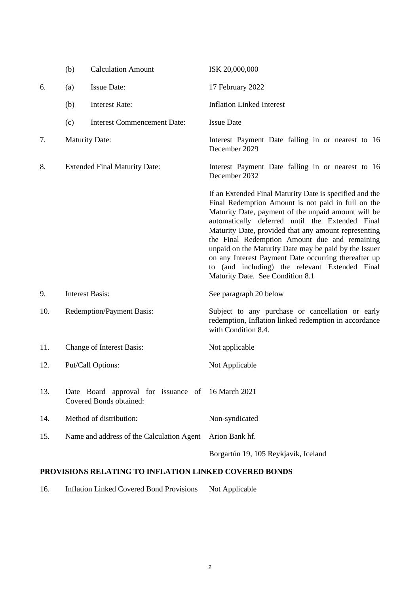|     | (b)                                  | <b>Calculation Amount</b>                                                    | ISK 20,000,000                                                                                                                                                                                                                                                                                                                                                                                                                                                                                                                          |
|-----|--------------------------------------|------------------------------------------------------------------------------|-----------------------------------------------------------------------------------------------------------------------------------------------------------------------------------------------------------------------------------------------------------------------------------------------------------------------------------------------------------------------------------------------------------------------------------------------------------------------------------------------------------------------------------------|
| 6.  | (a)                                  | <b>Issue Date:</b>                                                           | 17 February 2022                                                                                                                                                                                                                                                                                                                                                                                                                                                                                                                        |
|     | (b)                                  | <b>Interest Rate:</b>                                                        | <b>Inflation Linked Interest</b>                                                                                                                                                                                                                                                                                                                                                                                                                                                                                                        |
|     | (c)                                  | <b>Interest Commencement Date:</b>                                           | <b>Issue Date</b>                                                                                                                                                                                                                                                                                                                                                                                                                                                                                                                       |
| 7.  | <b>Maturity Date:</b>                |                                                                              | Interest Payment Date falling in or nearest to 16<br>December 2029                                                                                                                                                                                                                                                                                                                                                                                                                                                                      |
| 8.  | <b>Extended Final Maturity Date:</b> |                                                                              | Interest Payment Date falling in or nearest to 16<br>December 2032                                                                                                                                                                                                                                                                                                                                                                                                                                                                      |
|     |                                      |                                                                              | If an Extended Final Maturity Date is specified and the<br>Final Redemption Amount is not paid in full on the<br>Maturity Date, payment of the unpaid amount will be<br>automatically deferred until the Extended Final<br>Maturity Date, provided that any amount representing<br>the Final Redemption Amount due and remaining<br>unpaid on the Maturity Date may be paid by the Issuer<br>on any Interest Payment Date occurring thereafter up<br>to (and including) the relevant Extended Final<br>Maturity Date. See Condition 8.1 |
| 9.  | <b>Interest Basis:</b>               |                                                                              | See paragraph 20 below                                                                                                                                                                                                                                                                                                                                                                                                                                                                                                                  |
| 10. |                                      | <b>Redemption/Payment Basis:</b>                                             | Subject to any purchase or cancellation or early<br>redemption, Inflation linked redemption in accordance<br>with Condition 8.4.                                                                                                                                                                                                                                                                                                                                                                                                        |
| 11. |                                      | <b>Change of Interest Basis:</b>                                             | Not applicable                                                                                                                                                                                                                                                                                                                                                                                                                                                                                                                          |
| 12. |                                      | Put/Call Options:                                                            | Not Applicable                                                                                                                                                                                                                                                                                                                                                                                                                                                                                                                          |
| 13. |                                      | Date Board approval for issuance of 16 March 2021<br>Covered Bonds obtained: |                                                                                                                                                                                                                                                                                                                                                                                                                                                                                                                                         |
| 14. |                                      | Method of distribution:                                                      | Non-syndicated                                                                                                                                                                                                                                                                                                                                                                                                                                                                                                                          |
| 15. |                                      | Name and address of the Calculation Agent                                    | Arion Bank hf.                                                                                                                                                                                                                                                                                                                                                                                                                                                                                                                          |
|     |                                      |                                                                              | Borgartún 19, 105 Reykjavík, Iceland                                                                                                                                                                                                                                                                                                                                                                                                                                                                                                    |

# **PROVISIONS RELATING TO INFLATION LINKED COVERED BONDS**

16. Inflation Linked Covered Bond Provisions Not Applicable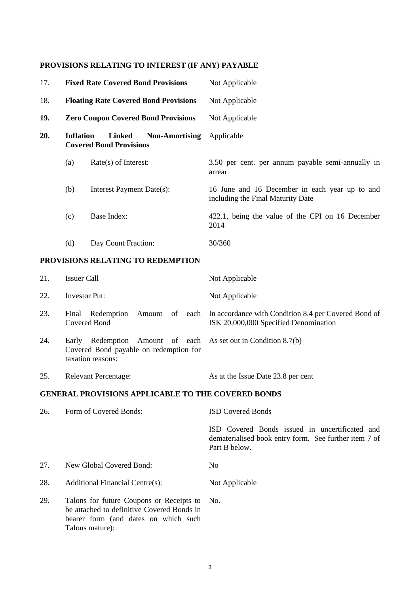# **PROVISIONS RELATING TO INTEREST (IF ANY) PAYABLE**

| 17. |           | <b>Fixed Rate Covered Bond Provisions</b>                                | Not Applicable                                                                      |
|-----|-----------|--------------------------------------------------------------------------|-------------------------------------------------------------------------------------|
| 18. |           | <b>Floating Rate Covered Bond Provisions</b>                             | Not Applicable                                                                      |
| 19. |           | <b>Zero Coupon Covered Bond Provisions</b>                               | Not Applicable                                                                      |
| 20. | Inflation | <b>Linked</b><br><b>Non-Amortising</b><br><b>Covered Bond Provisions</b> | Applicable                                                                          |
|     | (a)       | $Rate(s)$ of Interest:                                                   | 3.50 per cent. per annum payable semi-annually in<br>arrear                         |
|     | (b)       | Interest Payment Date(s):                                                | 16 June and 16 December in each year up to and<br>including the Final Maturity Date |
|     | (c)       | Base Index:                                                              | 422.1, being the value of the CPI on 16 December<br>2014                            |
|     | (d)       | Day Count Fraction:                                                      | 30/360                                                                              |

# **PROVISIONS RELATING TO REDEMPTION**

| 21. | <b>Issuer Call</b>                                                                                                               | Not Applicable                                                                                               |
|-----|----------------------------------------------------------------------------------------------------------------------------------|--------------------------------------------------------------------------------------------------------------|
| 22. | Investor Put:                                                                                                                    | Not Applicable                                                                                               |
| 23. | Redemption<br>Final<br>Covered Bond                                                                                              | Amount of each In accordance with Condition 8.4 per Covered Bond of<br>ISK 20,000,000 Specified Denomination |
| 24. | Redemption Amount of each As set out in Condition 8.7(b)<br>Early<br>Covered Bond payable on redemption for<br>taxation reasons: |                                                                                                              |
| 25. | <b>Relevant Percentage:</b>                                                                                                      | As at the Issue Date 23.8 per cent                                                                           |

# **GENERAL PROVISIONS APPLICABLE TO THE COVERED BONDS**

| 26. | Form of Covered Bonds:                                                                                                                            | <b>ISD Covered Bonds</b>                                                                                                 |
|-----|---------------------------------------------------------------------------------------------------------------------------------------------------|--------------------------------------------------------------------------------------------------------------------------|
|     |                                                                                                                                                   | ISD Covered Bonds issued in uncertificated and<br>dematerialised book entry form. See further item 7 of<br>Part B below. |
| 27. | New Global Covered Bond:                                                                                                                          | No.                                                                                                                      |
| 28. | Additional Financial Centre(s):                                                                                                                   | Not Applicable                                                                                                           |
| 29. | Talons for future Coupons or Receipts to<br>be attached to definitive Covered Bonds in<br>bearer form (and dates on which such<br>Talons mature): | No.                                                                                                                      |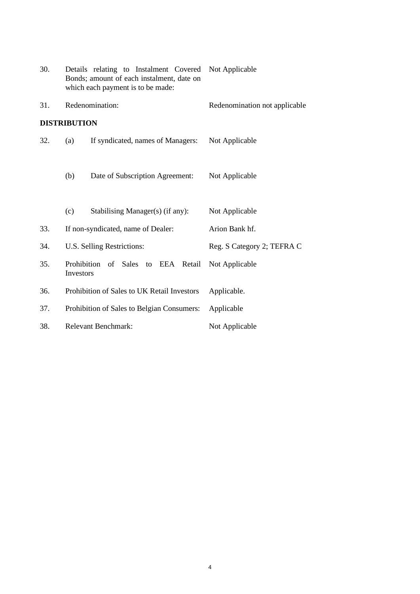| 30. | Details relating to Instalment Covered<br>Bonds; amount of each instalment, date on<br>which each payment is to be made: | Not Applicable                |
|-----|--------------------------------------------------------------------------------------------------------------------------|-------------------------------|
| 31. | Redenomination:                                                                                                          | Redenomination not applicable |
|     | <b>DISTRIBUTION</b>                                                                                                      |                               |
| 32. | If syndicated, names of Managers:<br>(a)                                                                                 | Not Applicable                |
|     | Date of Subscription Agreement:<br>(b)                                                                                   | Not Applicable                |
|     | Stabilising Manager(s) (if any):<br>(c)                                                                                  | Not Applicable                |
| 33. | If non-syndicated, name of Dealer:                                                                                       | Arion Bank hf.                |
| 34. | U.S. Selling Restrictions:                                                                                               | Reg. S Category 2; TEFRA C    |
| 35. | Prohibition of Sales to EEA Retail<br>Investors                                                                          | Not Applicable                |
| 36. | Prohibition of Sales to UK Retail Investors                                                                              | Applicable.                   |
| 37. | Prohibition of Sales to Belgian Consumers:                                                                               | Applicable                    |
| 38. | <b>Relevant Benchmark:</b>                                                                                               | Not Applicable                |
|     |                                                                                                                          |                               |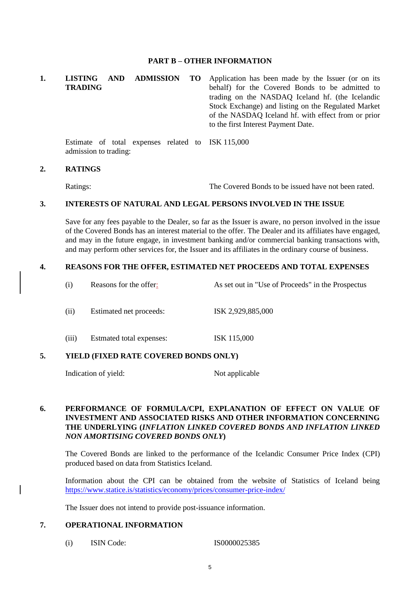### **PART B – OTHER INFORMATION**

**1. LISTING AND ADMISSION TO TRADING** Application has been made by the Issuer (or on its behalf) for the Covered Bonds to be admitted to trading on the NASDAQ Iceland hf. (the Icelandic Stock Exchange) and listing on the Regulated Market of the NASDAQ Iceland hf. with effect from or prior to the first Interest Payment Date.

Estimate of total expenses related to ISK 115,000 admission to trading:

#### **2. RATINGS**

Ratings: The Covered Bonds to be issued have not been rated.

### **3. INTERESTS OF NATURAL AND LEGAL PERSONS INVOLVED IN THE ISSUE**

Save for any fees payable to the Dealer, so far as the Issuer is aware, no person involved in the issue of the Covered Bonds has an interest material to the offer. The Dealer and its affiliates have engaged, and may in the future engage, in investment banking and/or commercial banking transactions with, and may perform other services for, the Issuer and its affiliates in the ordinary course of business.

### **4. REASONS FOR THE OFFER, ESTIMATED NET PROCEEDS AND TOTAL EXPENSES**

- (i) Reasons for the offer: As set out in "Use of Proceeds" in the Prospectus
- (ii) Estimated net proceeds: ISK 2,929,885,000
- (iii) Estmated total expenses: ISK 115,000

## **5. YIELD (FIXED RATE COVERED BONDS ONLY)**

Indication of yield: Not applicable

### **6. PERFORMANCE OF FORMULA/CPI, EXPLANATION OF EFFECT ON VALUE OF INVESTMENT AND ASSOCIATED RISKS AND OTHER INFORMATION CONCERNING THE UNDERLYING (***INFLATION LINKED COVERED BONDS AND INFLATION LINKED NON AMORTISING COVERED BONDS ONLY***)**

The Covered Bonds are linked to the performance of the Icelandic Consumer Price Index (CPI) produced based on data from Statistics Iceland.

Information about the CPI can be obtained from the website of Statistics of Iceland being <https://www.statice.is/statistics/economy/prices/consumer-price-index/>

The Issuer does not intend to provide post-issuance information.

### **7. OPERATIONAL INFORMATION**

(i) ISIN Code: IS0000025385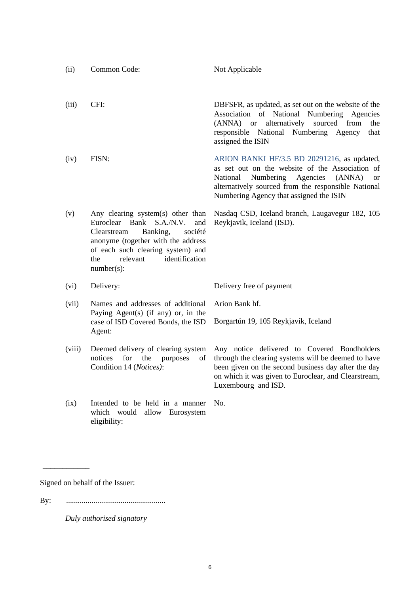| (ii)   | Common Code:                                                                                                                                                                                                                                             | Not Applicable                                                                                                                                                                                                                                                   |
|--------|----------------------------------------------------------------------------------------------------------------------------------------------------------------------------------------------------------------------------------------------------------|------------------------------------------------------------------------------------------------------------------------------------------------------------------------------------------------------------------------------------------------------------------|
| (iii)  | CFI:                                                                                                                                                                                                                                                     | DBFSFR, as updated, as set out on the website of the<br>of National<br>Numbering<br>Association<br>Agencies<br>sourced<br>from<br>$(ANNA)$ or<br>alternatively<br>the<br>responsible National Numbering Agency<br>that<br>assigned the ISIN                      |
| (iv)   | FISN:                                                                                                                                                                                                                                                    | ARION BANKI HF/3.5 BD 20291216, as updated,<br>as set out on the website of the Association of<br>National<br>Numbering<br>Agencies<br>(ANNA)<br><sub>or</sub><br>alternatively sourced from the responsible National<br>Numbering Agency that assigned the ISIN |
| (v)    | Any clearing system(s) other than<br>Euroclear<br><b>Bank</b><br>S.A./N.V.<br>and<br>Clearstream<br>Banking,<br>société<br>anonyme (together with the address<br>of each such clearing system) and<br>identification<br>relevant<br>the<br>$number(s)$ : | Nasdaq CSD, Iceland branch, Laugavegur 182, 105<br>Reykjavik, Iceland (ISD).                                                                                                                                                                                     |
| (vi)   | Delivery:                                                                                                                                                                                                                                                | Delivery free of payment                                                                                                                                                                                                                                         |
| (vii)  | Names and addresses of additional<br>Paying Agent(s) (if any) or, in the<br>case of ISD Covered Bonds, the ISD<br>Agent:                                                                                                                                 | Arion Bank hf.                                                                                                                                                                                                                                                   |
|        |                                                                                                                                                                                                                                                          | Borgartún 19, 105 Reykjavík, Iceland                                                                                                                                                                                                                             |
| (viii) | Deemed delivery of clearing system<br>for<br>notices<br>the<br>purposes<br>of<br>Condition 14 (Notices):                                                                                                                                                 | Any notice delivered to Covered Bondholders<br>through the clearing systems will be deemed to have<br>been given on the second business day after the day<br>on which it was given to Euroclear, and Clearstream,<br>Luxembourg and ISD.                         |
| (ix)   | Intended to be held in a manner<br>which would<br>allow Eurosystem<br>eligibility:                                                                                                                                                                       | No.                                                                                                                                                                                                                                                              |

Signed on behalf of the Issuer:

\_\_\_\_\_\_\_\_\_\_\_\_

By: ...................................................

*Duly authorised signatory*